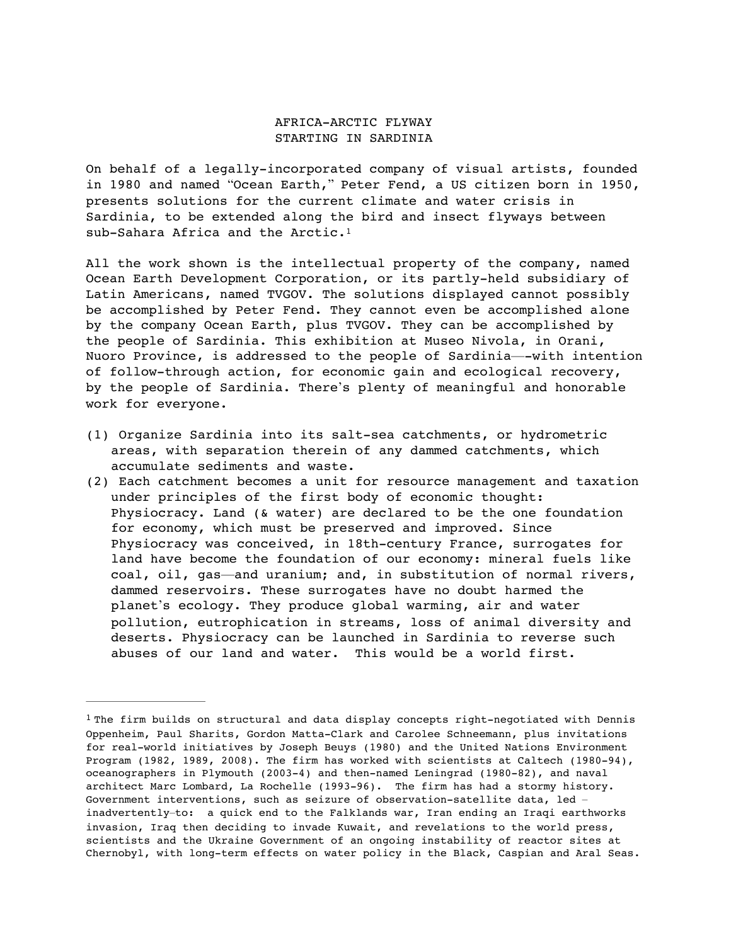## <span id="page-0-1"></span> AFRICA-ARCTIC FLYWAY STARTING IN SARDINIA

On behalf of a legally-incorporated company of visual artists, founded in 1980 and named "Ocean Earth," Peter Fend, a US citizen born in 1950, presents solutions for the current climate and water crisis in Sardinia, to be extended along the bird and insect flyways between sub-Sahara Africa and the Arctic.[1](#page-0-0)

All the work shown is the intellectual property of the company, named Ocean Earth Development Corporation, or its partly-held subsidiary of Latin Americans, named TVGOV. The solutions displayed cannot possibly be accomplished by Peter Fend. They cannot even be accomplished alone by the company Ocean Earth, plus TVGOV. They can be accomplished by the people of Sardinia. This exhibition at Museo Nivola, in Orani, Nuoro Province, is addressed to the people of Sardinia—-with intention of follow-through action, for economic gain and ecological recovery, by the people of Sardinia. There's plenty of meaningful and honorable work for everyone.

- (1) Organize Sardinia into its salt-sea catchments, or hydrometric areas, with separation therein of any dammed catchments, which accumulate sediments and waste.
- (2) Each catchment becomes a unit for resource management and taxation under principles of the first body of economic thought: Physiocracy. Land (& water) are declared to be the one foundation for economy, which must be preserved and improved. Since Physiocracy was conceived, in 18th-century France, surrogates for land have become the foundation of our economy: mineral fuels like coal, oil, gas—and uranium; and, in substitution of normal rivers, dammed reservoirs. These surrogates have no doubt harmed the planet's ecology. They produce global warming, air and water pollution, eutrophication in streams, loss of animal diversity and deserts. Physiocracy can be launched in Sardinia to reverse such abuses of our land and water. This would be a world first.

<span id="page-0-0"></span><sup>&</sup>lt;sup>[1](#page-0-1)</sup> The firm builds on structural and data display concepts right-negotiated with Dennis Oppenheim, Paul Sharits, Gordon Matta-Clark and Carolee Schneemann, plus invitations for real-world initiatives by Joseph Beuys (1980) and the United Nations Environment Program (1982, 1989, 2008). The firm has worked with scientists at Caltech (1980-94), oceanographers in Plymouth (2003-4) and then-named Leningrad (1980-82), and naval architect Marc Lombard, La Rochelle (1993-96). The firm has had a stormy history. Government interventions, such as seizure of observation-satellite data, led – inadvertently–to: a quick end to the Falklands war, Iran ending an Iraqi earthworks invasion, Iraq then deciding to invade Kuwait, and revelations to the world press, scientists and the Ukraine Government of an ongoing instability of reactor sites at Chernobyl, with long-term effects on water policy in the Black, Caspian and Aral Seas.